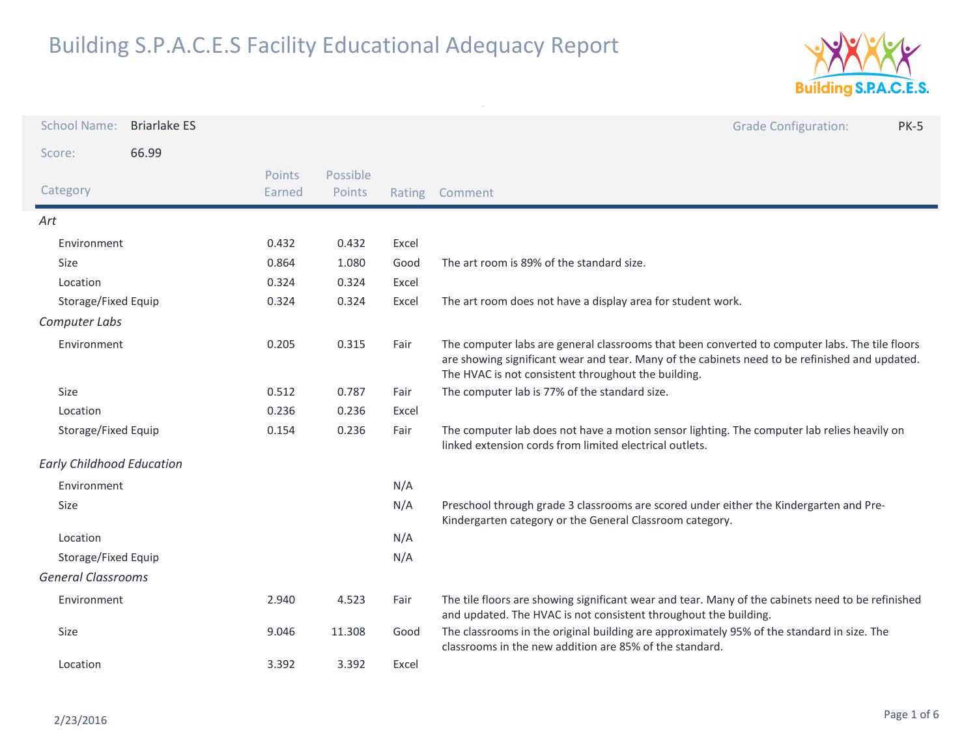

| <b>School Name:</b>              | <b>Briarlake ES</b> |                         |                    |       | <b>Grade Configuration:</b><br><b>PK-5</b>                                                                                                                                                                                                              |
|----------------------------------|---------------------|-------------------------|--------------------|-------|---------------------------------------------------------------------------------------------------------------------------------------------------------------------------------------------------------------------------------------------------------|
| Score:                           | 66.99               |                         |                    |       |                                                                                                                                                                                                                                                         |
| Category                         |                     | <b>Points</b><br>Earned | Possible<br>Points |       | Rating Comment                                                                                                                                                                                                                                          |
| Art                              |                     |                         |                    |       |                                                                                                                                                                                                                                                         |
| Environment                      |                     | 0.432                   | 0.432              | Excel |                                                                                                                                                                                                                                                         |
| Size                             |                     | 0.864                   | 1.080              | Good  | The art room is 89% of the standard size.                                                                                                                                                                                                               |
| Location                         |                     | 0.324                   | 0.324              | Excel |                                                                                                                                                                                                                                                         |
| Storage/Fixed Equip              |                     | 0.324                   | 0.324              | Excel | The art room does not have a display area for student work.                                                                                                                                                                                             |
| Computer Labs                    |                     |                         |                    |       |                                                                                                                                                                                                                                                         |
| Environment                      |                     | 0.205                   | 0.315              | Fair  | The computer labs are general classrooms that been converted to computer labs. The tile floors<br>are showing significant wear and tear. Many of the cabinets need to be refinished and updated.<br>The HVAC is not consistent throughout the building. |
| Size                             |                     | 0.512                   | 0.787              | Fair  | The computer lab is 77% of the standard size.                                                                                                                                                                                                           |
| Location                         |                     | 0.236                   | 0.236              | Excel |                                                                                                                                                                                                                                                         |
| Storage/Fixed Equip              |                     | 0.154                   | 0.236              | Fair  | The computer lab does not have a motion sensor lighting. The computer lab relies heavily on<br>linked extension cords from limited electrical outlets.                                                                                                  |
| <b>Early Childhood Education</b> |                     |                         |                    |       |                                                                                                                                                                                                                                                         |
| Environment                      |                     |                         |                    | N/A   |                                                                                                                                                                                                                                                         |
| Size                             |                     |                         |                    | N/A   | Preschool through grade 3 classrooms are scored under either the Kindergarten and Pre-<br>Kindergarten category or the General Classroom category.                                                                                                      |
| Location                         |                     |                         |                    | N/A   |                                                                                                                                                                                                                                                         |
| Storage/Fixed Equip              |                     |                         |                    | N/A   |                                                                                                                                                                                                                                                         |
| <b>General Classrooms</b>        |                     |                         |                    |       |                                                                                                                                                                                                                                                         |
| Environment                      |                     | 2.940                   | 4.523              | Fair  | The tile floors are showing significant wear and tear. Many of the cabinets need to be refinished<br>and updated. The HVAC is not consistent throughout the building.                                                                                   |
| Size                             |                     | 9.046                   | 11.308             | Good  | The classrooms in the original building are approximately 95% of the standard in size. The<br>classrooms in the new addition are 85% of the standard.                                                                                                   |
| Location                         |                     | 3.392                   | 3.392              | Excel |                                                                                                                                                                                                                                                         |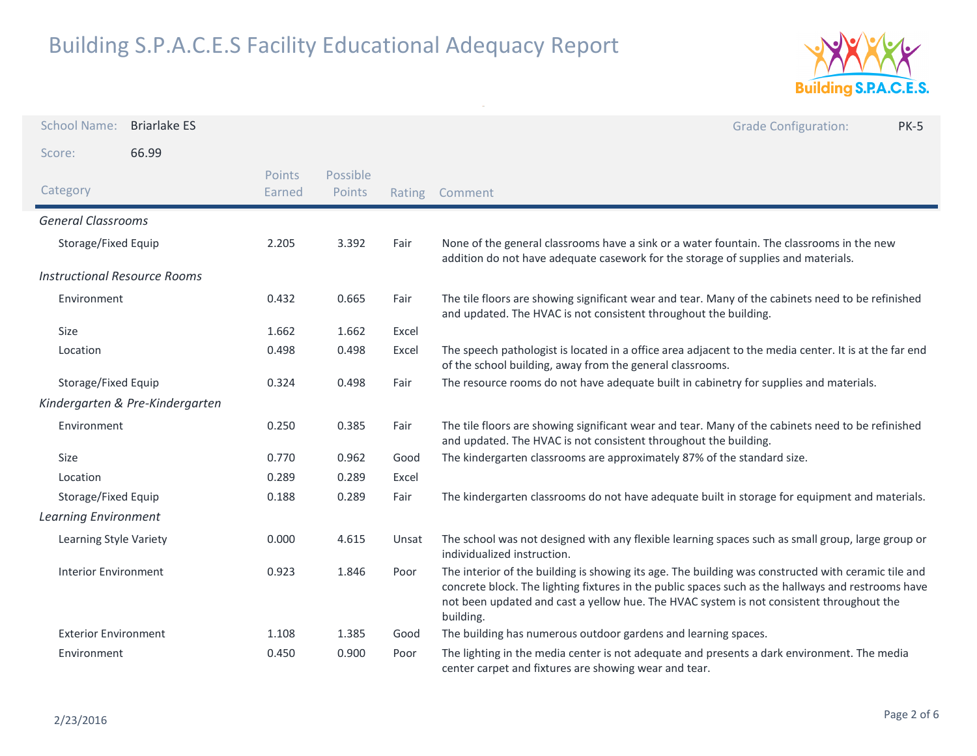

| <b>School Name:</b>                 | <b>Briarlake ES</b> |                         |                    |        |                                                                                                                                                                                                                                                                                                                    | <b>Grade Configuration:</b> | PK-5 |
|-------------------------------------|---------------------|-------------------------|--------------------|--------|--------------------------------------------------------------------------------------------------------------------------------------------------------------------------------------------------------------------------------------------------------------------------------------------------------------------|-----------------------------|------|
| Score:                              | 66.99               |                         |                    |        |                                                                                                                                                                                                                                                                                                                    |                             |      |
| Category                            |                     | <b>Points</b><br>Earned | Possible<br>Points | Rating | Comment                                                                                                                                                                                                                                                                                                            |                             |      |
| <b>General Classrooms</b>           |                     |                         |                    |        |                                                                                                                                                                                                                                                                                                                    |                             |      |
| Storage/Fixed Equip                 |                     | 2.205                   | 3.392              | Fair   | None of the general classrooms have a sink or a water fountain. The classrooms in the new<br>addition do not have adequate casework for the storage of supplies and materials.                                                                                                                                     |                             |      |
| <b>Instructional Resource Rooms</b> |                     |                         |                    |        |                                                                                                                                                                                                                                                                                                                    |                             |      |
| Environment                         |                     | 0.432                   | 0.665              | Fair   | The tile floors are showing significant wear and tear. Many of the cabinets need to be refinished<br>and updated. The HVAC is not consistent throughout the building.                                                                                                                                              |                             |      |
| Size                                |                     | 1.662                   | 1.662              | Excel  |                                                                                                                                                                                                                                                                                                                    |                             |      |
| Location                            |                     | 0.498                   | 0.498              | Excel  | The speech pathologist is located in a office area adjacent to the media center. It is at the far end<br>of the school building, away from the general classrooms.                                                                                                                                                 |                             |      |
| Storage/Fixed Equip                 |                     | 0.324                   | 0.498              | Fair   | The resource rooms do not have adequate built in cabinetry for supplies and materials.                                                                                                                                                                                                                             |                             |      |
| Kindergarten & Pre-Kindergarten     |                     |                         |                    |        |                                                                                                                                                                                                                                                                                                                    |                             |      |
| Environment                         |                     | 0.250                   | 0.385              | Fair   | The tile floors are showing significant wear and tear. Many of the cabinets need to be refinished<br>and updated. The HVAC is not consistent throughout the building.                                                                                                                                              |                             |      |
| <b>Size</b>                         |                     | 0.770                   | 0.962              | Good   | The kindergarten classrooms are approximately 87% of the standard size.                                                                                                                                                                                                                                            |                             |      |
| Location                            |                     | 0.289                   | 0.289              | Excel  |                                                                                                                                                                                                                                                                                                                    |                             |      |
| Storage/Fixed Equip                 |                     | 0.188                   | 0.289              | Fair   | The kindergarten classrooms do not have adequate built in storage for equipment and materials.                                                                                                                                                                                                                     |                             |      |
| <b>Learning Environment</b>         |                     |                         |                    |        |                                                                                                                                                                                                                                                                                                                    |                             |      |
| Learning Style Variety              |                     | 0.000                   | 4.615              | Unsat  | The school was not designed with any flexible learning spaces such as small group, large group or<br>individualized instruction.                                                                                                                                                                                   |                             |      |
| <b>Interior Environment</b>         |                     | 0.923                   | 1.846              | Poor   | The interior of the building is showing its age. The building was constructed with ceramic tile and<br>concrete block. The lighting fixtures in the public spaces such as the hallways and restrooms have<br>not been updated and cast a yellow hue. The HVAC system is not consistent throughout the<br>building. |                             |      |
| <b>Exterior Environment</b>         |                     | 1.108                   | 1.385              | Good   | The building has numerous outdoor gardens and learning spaces.                                                                                                                                                                                                                                                     |                             |      |
| Environment                         |                     | 0.450                   | 0.900              | Poor   | The lighting in the media center is not adequate and presents a dark environment. The media<br>center carpet and fixtures are showing wear and tear.                                                                                                                                                               |                             |      |

 $\omega$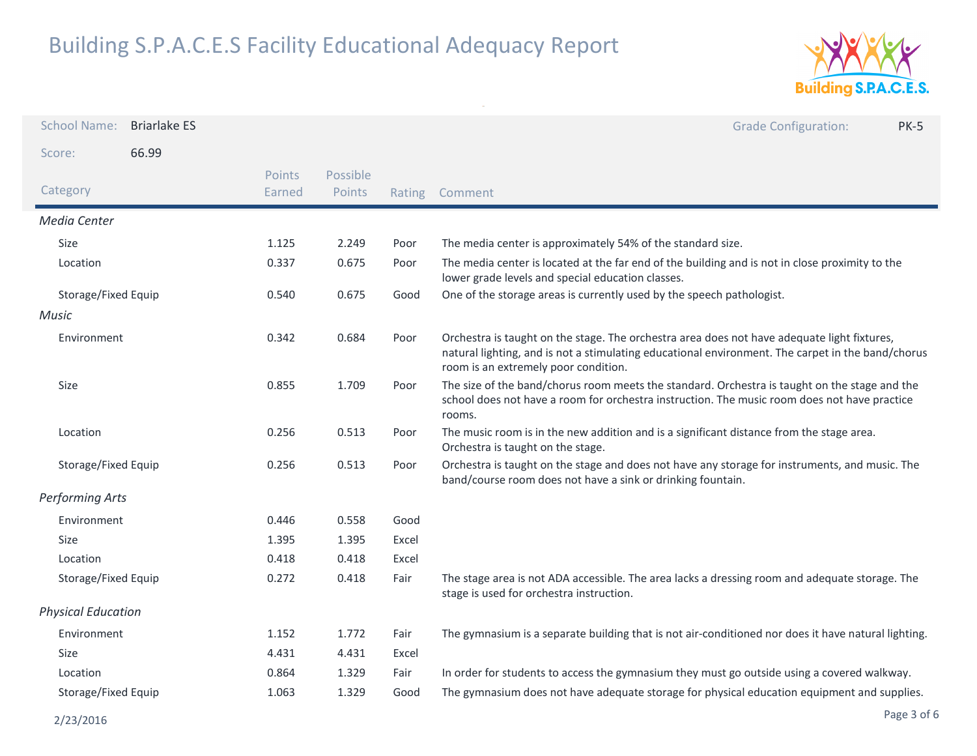

| <b>School Name:</b>       | <b>Briarlake ES</b> |                  |                           |       | <b>Grade Configuration:</b><br><b>PK-5</b>                                                                                                                                                                                               |
|---------------------------|---------------------|------------------|---------------------------|-------|------------------------------------------------------------------------------------------------------------------------------------------------------------------------------------------------------------------------------------------|
| Score:                    | 66.99               |                  |                           |       |                                                                                                                                                                                                                                          |
| Category                  |                     | Points<br>Earned | Possible<br><b>Points</b> |       | Rating Comment                                                                                                                                                                                                                           |
| Media Center              |                     |                  |                           |       |                                                                                                                                                                                                                                          |
| Size                      |                     | 1.125            | 2.249                     | Poor  | The media center is approximately 54% of the standard size.                                                                                                                                                                              |
| Location                  |                     | 0.337            | 0.675                     | Poor  | The media center is located at the far end of the building and is not in close proximity to the<br>lower grade levels and special education classes.                                                                                     |
| Storage/Fixed Equip       |                     | 0.540            | 0.675                     | Good  | One of the storage areas is currently used by the speech pathologist.                                                                                                                                                                    |
| Music                     |                     |                  |                           |       |                                                                                                                                                                                                                                          |
| Environment               |                     | 0.342            | 0.684                     | Poor  | Orchestra is taught on the stage. The orchestra area does not have adequate light fixtures,<br>natural lighting, and is not a stimulating educational environment. The carpet in the band/chorus<br>room is an extremely poor condition. |
| Size                      |                     | 0.855            | 1.709                     | Poor  | The size of the band/chorus room meets the standard. Orchestra is taught on the stage and the<br>school does not have a room for orchestra instruction. The music room does not have practice<br>rooms.                                  |
| Location                  |                     | 0.256            | 0.513                     | Poor  | The music room is in the new addition and is a significant distance from the stage area.<br>Orchestra is taught on the stage.                                                                                                            |
| Storage/Fixed Equip       |                     | 0.256            | 0.513                     | Poor  | Orchestra is taught on the stage and does not have any storage for instruments, and music. The<br>band/course room does not have a sink or drinking fountain.                                                                            |
| <b>Performing Arts</b>    |                     |                  |                           |       |                                                                                                                                                                                                                                          |
| Environment               |                     | 0.446            | 0.558                     | Good  |                                                                                                                                                                                                                                          |
| Size                      |                     | 1.395            | 1.395                     | Excel |                                                                                                                                                                                                                                          |
| Location                  |                     | 0.418            | 0.418                     | Excel |                                                                                                                                                                                                                                          |
| Storage/Fixed Equip       |                     | 0.272            | 0.418                     | Fair  | The stage area is not ADA accessible. The area lacks a dressing room and adequate storage. The<br>stage is used for orchestra instruction.                                                                                               |
| <b>Physical Education</b> |                     |                  |                           |       |                                                                                                                                                                                                                                          |
| Environment               |                     | 1.152            | 1.772                     | Fair  | The gymnasium is a separate building that is not air-conditioned nor does it have natural lighting.                                                                                                                                      |
| Size                      |                     | 4.431            | 4.431                     | Excel |                                                                                                                                                                                                                                          |
| Location                  |                     | 0.864            | 1.329                     | Fair  | In order for students to access the gymnasium they must go outside using a covered walkway.                                                                                                                                              |
| Storage/Fixed Equip       |                     | 1.063            | 1.329                     | Good  | The gymnasium does not have adequate storage for physical education equipment and supplies.                                                                                                                                              |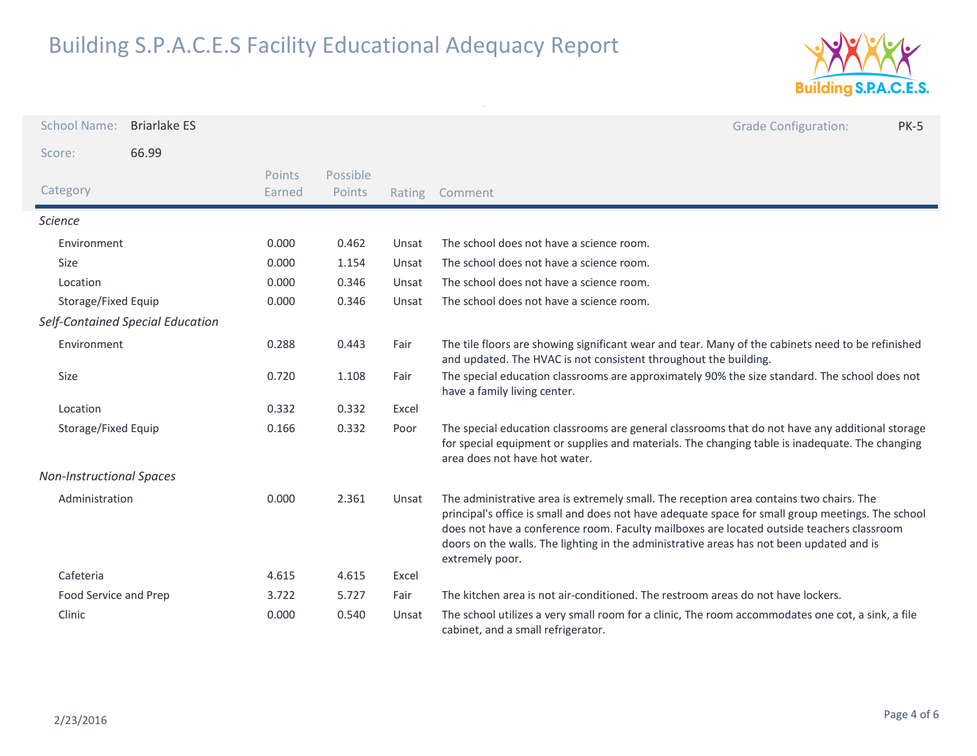

| <b>School Name:</b>              | <b>Briarlake ES</b> |                         |                    |        | <b>Grade Configuration:</b><br><b>PK-5</b>                                                                                                                                                                                                                                                                                                                                                               |
|----------------------------------|---------------------|-------------------------|--------------------|--------|----------------------------------------------------------------------------------------------------------------------------------------------------------------------------------------------------------------------------------------------------------------------------------------------------------------------------------------------------------------------------------------------------------|
| Score:                           | 66.99               |                         |                    |        |                                                                                                                                                                                                                                                                                                                                                                                                          |
| Category                         |                     | <b>Points</b><br>Earned | Possible<br>Points | Rating | Comment                                                                                                                                                                                                                                                                                                                                                                                                  |
| <b>Science</b>                   |                     |                         |                    |        |                                                                                                                                                                                                                                                                                                                                                                                                          |
| Environment                      |                     | 0.000                   | 0.462              | Unsat  | The school does not have a science room.                                                                                                                                                                                                                                                                                                                                                                 |
| <b>Size</b>                      |                     | 0.000                   | 1.154              | Unsat  | The school does not have a science room.                                                                                                                                                                                                                                                                                                                                                                 |
| Location                         |                     | 0.000                   | 0.346              | Unsat  | The school does not have a science room.                                                                                                                                                                                                                                                                                                                                                                 |
| Storage/Fixed Equip              |                     | 0.000                   | 0.346              | Unsat  | The school does not have a science room.                                                                                                                                                                                                                                                                                                                                                                 |
| Self-Contained Special Education |                     |                         |                    |        |                                                                                                                                                                                                                                                                                                                                                                                                          |
| Environment                      |                     | 0.288                   | 0.443              | Fair   | The tile floors are showing significant wear and tear. Many of the cabinets need to be refinished<br>and updated. The HVAC is not consistent throughout the building.                                                                                                                                                                                                                                    |
| Size                             |                     | 0.720                   | 1.108              | Fair   | The special education classrooms are approximately 90% the size standard. The school does not<br>have a family living center.                                                                                                                                                                                                                                                                            |
| Location                         |                     | 0.332                   | 0.332              | Excel  |                                                                                                                                                                                                                                                                                                                                                                                                          |
| Storage/Fixed Equip              |                     | 0.166                   | 0.332              | Poor   | The special education classrooms are general classrooms that do not have any additional storage<br>for special equipment or supplies and materials. The changing table is inadequate. The changing<br>area does not have hot water.                                                                                                                                                                      |
| <b>Non-Instructional Spaces</b>  |                     |                         |                    |        |                                                                                                                                                                                                                                                                                                                                                                                                          |
| Administration                   |                     | 0.000                   | 2.361              | Unsat  | The administrative area is extremely small. The reception area contains two chairs. The<br>principal's office is small and does not have adequate space for small group meetings. The school<br>does not have a conference room. Faculty mailboxes are located outside teachers classroom<br>doors on the walls. The lighting in the administrative areas has not been updated and is<br>extremely poor. |
| Cafeteria                        |                     | 4.615                   | 4.615              | Excel  |                                                                                                                                                                                                                                                                                                                                                                                                          |
| Food Service and Prep            |                     | 3.722                   | 5.727              | Fair   | The kitchen area is not air-conditioned. The restroom areas do not have lockers.                                                                                                                                                                                                                                                                                                                         |
| Clinic                           |                     | 0.000                   | 0.540              | Unsat  | The school utilizes a very small room for a clinic, The room accommodates one cot, a sink, a file<br>cabinet, and a small refrigerator.                                                                                                                                                                                                                                                                  |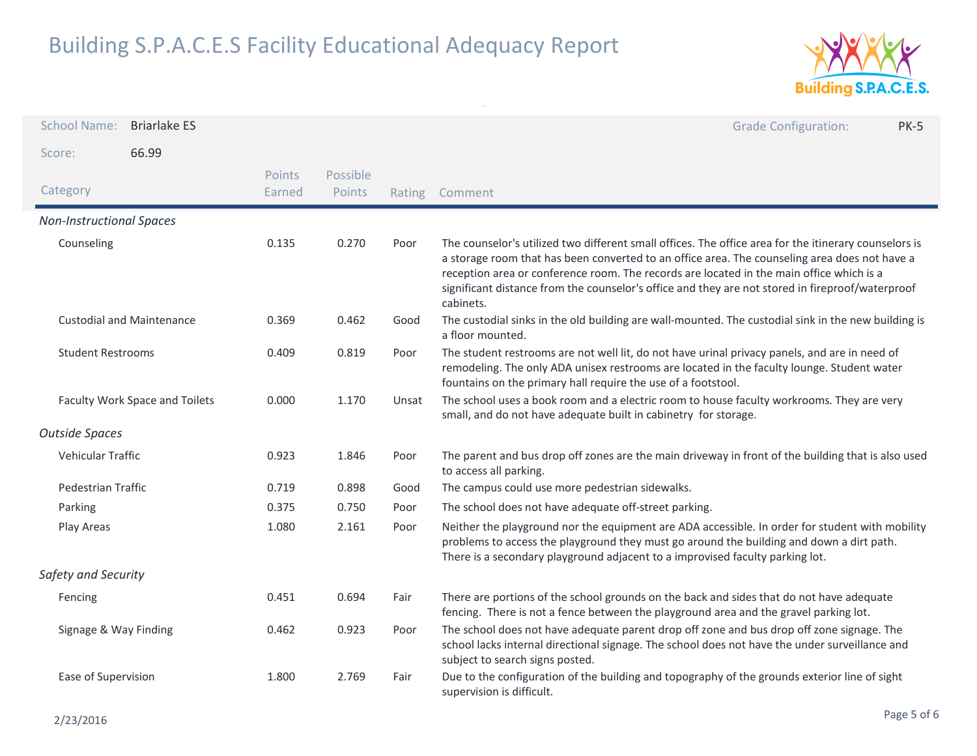

| <b>School Name:</b>             | <b>Briarlake ES</b>              |                  |                           |       | <b>Grade Configuration:</b><br><b>PK-5</b>                                                                                                                                                                                                                                                                                                                                                                          |
|---------------------------------|----------------------------------|------------------|---------------------------|-------|---------------------------------------------------------------------------------------------------------------------------------------------------------------------------------------------------------------------------------------------------------------------------------------------------------------------------------------------------------------------------------------------------------------------|
| Score:                          | 66.99                            |                  |                           |       |                                                                                                                                                                                                                                                                                                                                                                                                                     |
| Category                        |                                  | Points<br>Earned | Possible<br><b>Points</b> |       | Rating Comment                                                                                                                                                                                                                                                                                                                                                                                                      |
| <b>Non-Instructional Spaces</b> |                                  |                  |                           |       |                                                                                                                                                                                                                                                                                                                                                                                                                     |
| Counseling                      |                                  | 0.135            | 0.270                     | Poor  | The counselor's utilized two different small offices. The office area for the itinerary counselors is<br>a storage room that has been converted to an office area. The counseling area does not have a<br>reception area or conference room. The records are located in the main office which is a<br>significant distance from the counselor's office and they are not stored in fireproof/waterproof<br>cabinets. |
|                                 | <b>Custodial and Maintenance</b> | 0.369            | 0.462                     | Good  | The custodial sinks in the old building are wall-mounted. The custodial sink in the new building is<br>a floor mounted.                                                                                                                                                                                                                                                                                             |
| <b>Student Restrooms</b>        |                                  | 0.409            | 0.819                     | Poor  | The student restrooms are not well lit, do not have urinal privacy panels, and are in need of<br>remodeling. The only ADA unisex restrooms are located in the faculty lounge. Student water<br>fountains on the primary hall require the use of a footstool.                                                                                                                                                        |
| Faculty Work Space and Toilets  |                                  | 0.000            | 1.170                     | Unsat | The school uses a book room and a electric room to house faculty workrooms. They are very<br>small, and do not have adequate built in cabinetry for storage.                                                                                                                                                                                                                                                        |
| <b>Outside Spaces</b>           |                                  |                  |                           |       |                                                                                                                                                                                                                                                                                                                                                                                                                     |
| Vehicular Traffic               |                                  | 0.923            | 1.846                     | Poor  | The parent and bus drop off zones are the main driveway in front of the building that is also used<br>to access all parking.                                                                                                                                                                                                                                                                                        |
| Pedestrian Traffic              |                                  | 0.719            | 0.898                     | Good  | The campus could use more pedestrian sidewalks.                                                                                                                                                                                                                                                                                                                                                                     |
| Parking                         |                                  | 0.375            | 0.750                     | Poor  | The school does not have adequate off-street parking.                                                                                                                                                                                                                                                                                                                                                               |
| Play Areas                      |                                  | 1.080            | 2.161                     | Poor  | Neither the playground nor the equipment are ADA accessible. In order for student with mobility<br>problems to access the playground they must go around the building and down a dirt path.<br>There is a secondary playground adjacent to a improvised faculty parking lot.                                                                                                                                        |
| Safety and Security             |                                  |                  |                           |       |                                                                                                                                                                                                                                                                                                                                                                                                                     |
| Fencing                         |                                  | 0.451            | 0.694                     | Fair  | There are portions of the school grounds on the back and sides that do not have adequate<br>fencing. There is not a fence between the playground area and the gravel parking lot.                                                                                                                                                                                                                                   |
| Signage & Way Finding           |                                  | 0.462            | 0.923                     | Poor  | The school does not have adequate parent drop off zone and bus drop off zone signage. The<br>school lacks internal directional signage. The school does not have the under surveillance and<br>subject to search signs posted.                                                                                                                                                                                      |
| Ease of Supervision             |                                  | 1.800            | 2.769                     | Fair  | Due to the configuration of the building and topography of the grounds exterior line of sight<br>supervision is difficult.                                                                                                                                                                                                                                                                                          |